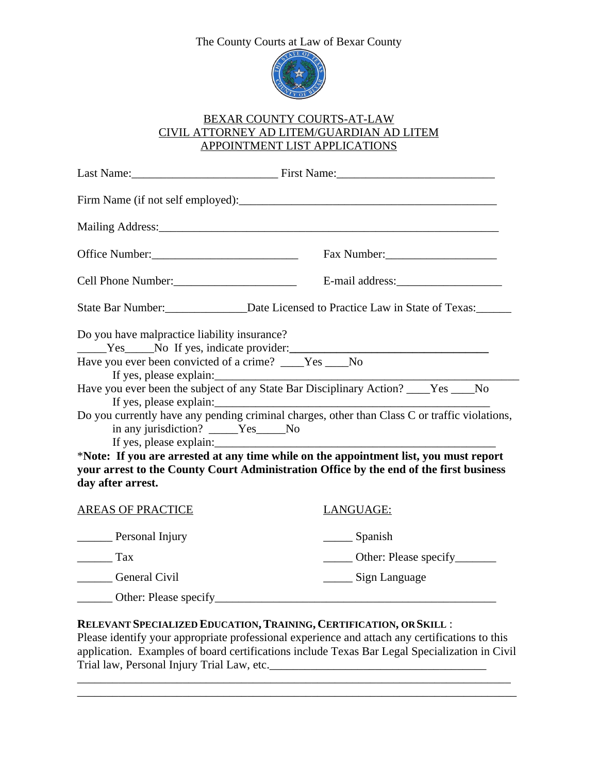## The County Courts at Law of Bexar County



### BEXAR COUNTY COURTS-AT-LAW CIVIL ATTORNEY AD LITEM/GUARDIAN AD LITEM APPOINTMENT LIST APPLICATIONS

|                                                                                                                                   | Last Name: First Name: First Name:                                                                                                                                                                             |
|-----------------------------------------------------------------------------------------------------------------------------------|----------------------------------------------------------------------------------------------------------------------------------------------------------------------------------------------------------------|
|                                                                                                                                   |                                                                                                                                                                                                                |
|                                                                                                                                   |                                                                                                                                                                                                                |
| Office Number:<br><u> </u>                                                                                                        | Fax Number:                                                                                                                                                                                                    |
|                                                                                                                                   |                                                                                                                                                                                                                |
|                                                                                                                                   | State Bar Number:<br><u>Date Licensed to Practice Law in State of Texas:</u>                                                                                                                                   |
| Do you have malpractice liability insurance?<br>Have you ever been convicted of a crime? ____Yes ___No<br>If yes, please explain: | Ves No If yes, indicate provider:                                                                                                                                                                              |
| in any jurisdiction? _____Yes____No<br>If yes, please explain:                                                                    | Have you ever been the subject of any State Bar Disciplinary Action? ____Yes ___No<br>If yes, please explain:<br>Do you currently have any pending criminal charges, other than Class C or traffic violations, |
| day after arrest.                                                                                                                 | *Note: If you are arrested at any time while on the appointment list, you must report<br>your arrest to the County Court Administration Office by the end of the first business                                |
| <b>AREAS OF PRACTICE</b>                                                                                                          | <b>LANGUAGE:</b>                                                                                                                                                                                               |
| Personal Injury                                                                                                                   | $\frac{1}{2}$ Spanish                                                                                                                                                                                          |
| $\frac{1}{\sqrt{1-x}}$                                                                                                            | ________ Other: Please specify_________                                                                                                                                                                        |
| General Civil                                                                                                                     | ______ Sign Language                                                                                                                                                                                           |

# \_\_\_\_\_\_ Other: Please specify\_\_\_\_\_\_\_\_\_\_\_\_\_\_\_\_\_\_\_\_\_\_\_\_\_\_\_\_\_\_\_\_\_\_\_\_\_\_\_\_\_\_\_\_\_\_\_\_

## **RELEVANT SPECIALIZED EDUCATION,TRAINING, CERTIFICATION, OR SKILL** :

Please identify your appropriate professional experience and attach any certifications to this application. Examples of board certifications include Texas Bar Legal Specialization in Civil Trial law, Personal Injury Trial Law, etc.\_\_\_\_\_\_\_\_\_\_\_\_\_\_\_\_\_\_\_\_\_\_\_\_\_\_\_\_\_\_\_\_\_\_\_\_\_

\_\_\_\_\_\_\_\_\_\_\_\_\_\_\_\_\_\_\_\_\_\_\_\_\_\_\_\_\_\_\_\_\_\_\_\_\_\_\_\_\_\_\_\_\_\_\_\_\_\_\_\_\_\_\_\_\_\_\_\_\_\_\_\_\_\_\_\_\_\_\_\_\_\_ \_\_\_\_\_\_\_\_\_\_\_\_\_\_\_\_\_\_\_\_\_\_\_\_\_\_\_\_\_\_\_\_\_\_\_\_\_\_\_\_\_\_\_\_\_\_\_\_\_\_\_\_\_\_\_\_\_\_\_\_\_\_\_\_\_\_\_\_\_\_\_\_\_\_\_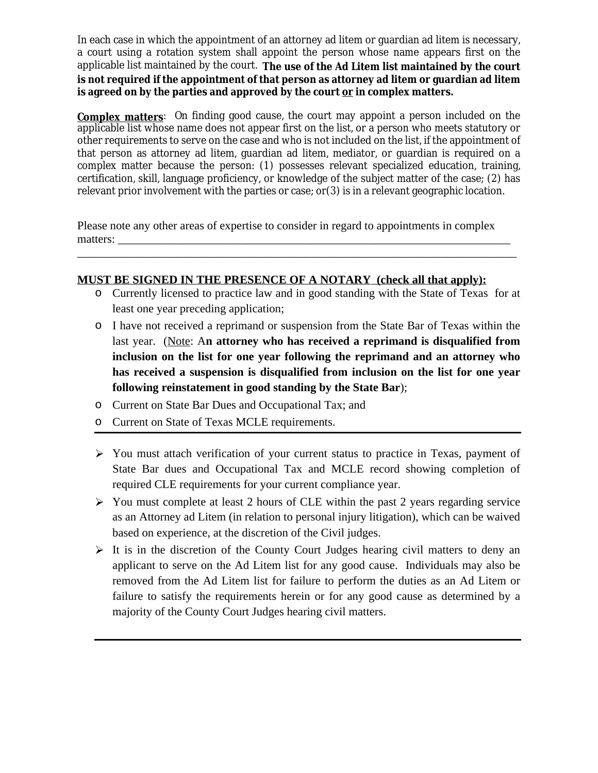In each case in which the appointment of an attorney ad litem or guardian ad litem is necessary, a court using a rotation system shall appoint the person whose name appears first on the applicable list maintained by the court. **The use of the Ad Litem list maintained by the court is not required if the appointment of that person as attorney ad litem or guardian ad litem is agreed on by the parties and approved by the court or in complex matters.**

**Complex matters**: On finding good cause, the court may appoint a person included on the applicable list whose name does not appear first on the list, or a person who meets statutory or other requirements to serve on the case and who is not included on the list, if the appointment of that person as attorney ad litem, guardian ad litem, mediator, or guardian is required on a complex matter because the person: (1) possesses relevant specialized education, training, certification, skill, language proficiency, or knowledge of the subject matter of the case; (2) has relevant prior involvement with the parties or case; or(3) is in a relevant geographic location.

Please note any other areas of expertise to consider in regard to appointments in complex matters:

\_\_\_\_\_\_\_\_\_\_\_\_\_\_\_\_\_\_\_\_\_\_\_\_\_\_\_\_\_\_\_\_\_\_\_\_\_\_\_\_\_\_\_\_\_\_\_\_\_\_\_\_\_\_\_\_\_\_\_\_\_\_\_\_\_\_\_\_\_\_\_\_\_\_\_

#### **MUST BE SIGNED IN THE PRESENCE OF A NOTARY (check all that apply):**

- o Currently licensed to practice law and in good standing with the State of Texas for at least one year preceding application;
- o I have not received a reprimand or suspension from the State Bar of Texas within the last year. (Note: A**n attorney who has received a reprimand is disqualified from inclusion on the list for one year following the reprimand and an attorney who has received a suspension is disqualified from inclusion on the list for one year following reinstatement in good standing by the State Bar**);
- o Current on State Bar Dues and Occupational Tax; and
- o Current on State of Texas MCLE requirements.
- You must attach verification of your current status to practice in Texas, payment of State Bar dues and Occupational Tax and MCLE record showing completion of required CLE requirements for your current compliance year.
- You must complete at least 2 hours of CLE within the past 2 years regarding service as an Attorney ad Litem (in relation to personal injury litigation), which can be waived based on experience, at the discretion of the Civil judges.
- $\triangleright$  It is in the discretion of the County Court Judges hearing civil matters to deny an applicant to serve on the Ad Litem list for any good cause. Individuals may also be removed from the Ad Litem list for failure to perform the duties as an Ad Litem or failure to satisfy the requirements herein or for any good cause as determined by a majority of the County Court Judges hearing civil matters.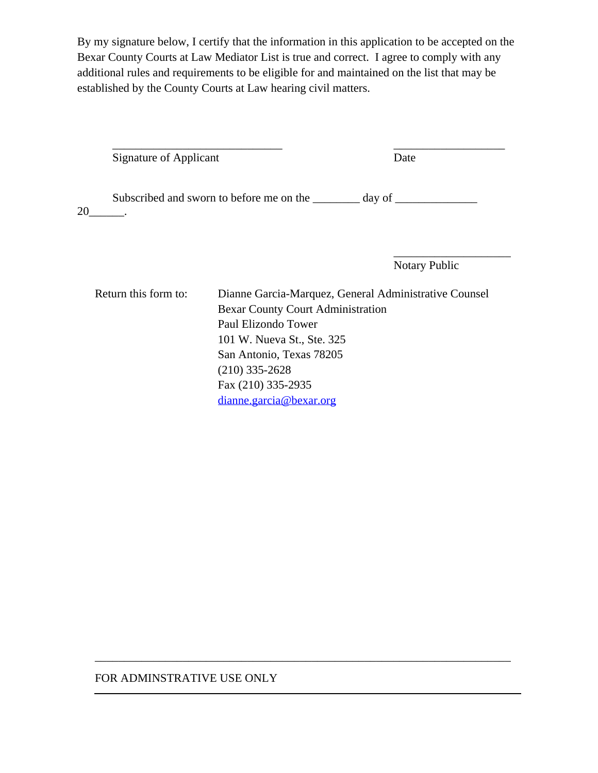By my signature below, I certify that the information in this application to be accepted on the Bexar County Courts at Law Mediator List is true and correct. I agree to comply with any additional rules and requirements to be eligible for and maintained on the list that may be established by the County Courts at Law hearing civil matters.

\_\_\_\_\_\_\_\_\_\_\_\_\_\_\_\_\_\_\_\_\_\_\_\_\_\_\_\_\_ \_\_\_\_\_\_\_\_\_\_\_\_\_\_\_\_\_\_\_ Signature of Applicant Date

Subscribed and sworn to before me on the \_\_\_\_\_\_\_\_ day of \_\_\_\_\_\_\_\_\_\_\_\_\_\_\_\_\_\_\_\_\_\_\_ 20\_\_\_\_\_\_.

Notary Public

\_\_\_\_\_\_\_\_\_\_\_\_\_\_\_\_\_\_\_\_

Return this form to: Dianne Garcia-Marquez, General Administrative Counsel Bexar County Court Administration Paul Elizondo Tower 101 W. Nueva St., Ste. 325 San Antonio, Texas 78205 (210) 335-2628 Fax (210) 335-2935 [dianne.garcia@bexar.org](mailto:dianne.garcia@bexar.org)

\_\_\_\_\_\_\_\_\_\_\_\_\_\_\_\_\_\_\_\_\_\_\_\_\_\_\_\_\_\_\_\_\_\_\_\_\_\_\_\_\_\_\_\_\_\_\_\_\_\_\_\_\_\_\_\_\_\_\_\_\_\_\_\_\_\_\_\_\_\_\_

#### FOR ADMINSTRATIVE USE ONLY